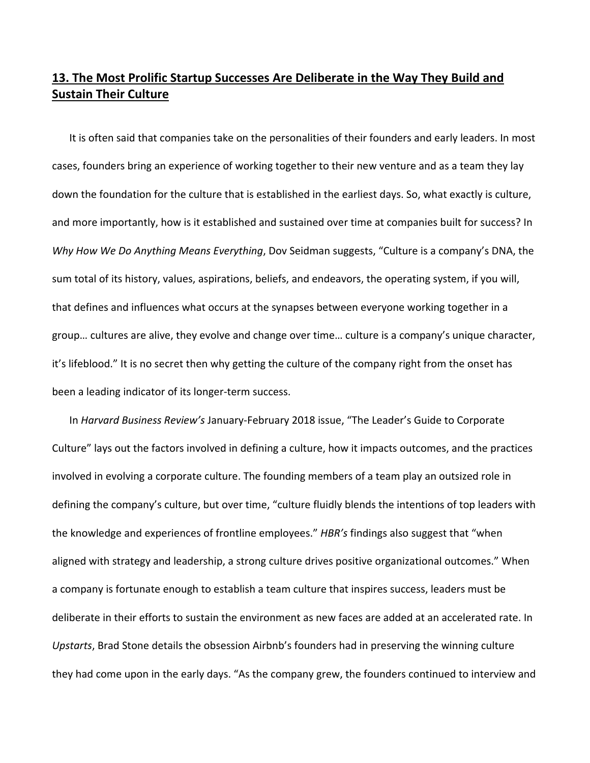## **13. The Most Prolific Startup Successes Are Deliberate in the Way They Build and Sustain Their Culture**

It is often said that companies take on the personalities of their founders and early leaders. In most cases, founders bring an experience of working together to their new venture and as a team they lay down the foundation for the culture that is established in the earliest days. So, what exactly is culture, and more importantly, how is it established and sustained over time at companies built for success? In *Why How We Do Anything Means Everything*, Dov Seidman suggests, "Culture is a company's DNA, the sum total of its history, values, aspirations, beliefs, and endeavors, the operating system, if you will, that defines and influences what occurs at the synapses between everyone working together in a group… cultures are alive, they evolve and change over time… culture is a company's unique character, it's lifeblood." It is no secret then why getting the culture of the company right from the onset has been a leading indicator of its longer‐term success.

In *Harvard Business Review's* January‐February 2018 issue, "The Leader's Guide to Corporate Culture" lays out the factors involved in defining a culture, how it impacts outcomes, and the practices involved in evolving a corporate culture. The founding members of a team play an outsized role in defining the company's culture, but over time, "culture fluidly blends the intentions of top leaders with the knowledge and experiences of frontline employees." *HBR's* findings also suggest that "when aligned with strategy and leadership, a strong culture drives positive organizational outcomes." When a company is fortunate enough to establish a team culture that inspires success, leaders must be deliberate in their efforts to sustain the environment as new faces are added at an accelerated rate. In *Upstarts*, Brad Stone details the obsession Airbnb's founders had in preserving the winning culture they had come upon in the early days. "As the company grew, the founders continued to interview and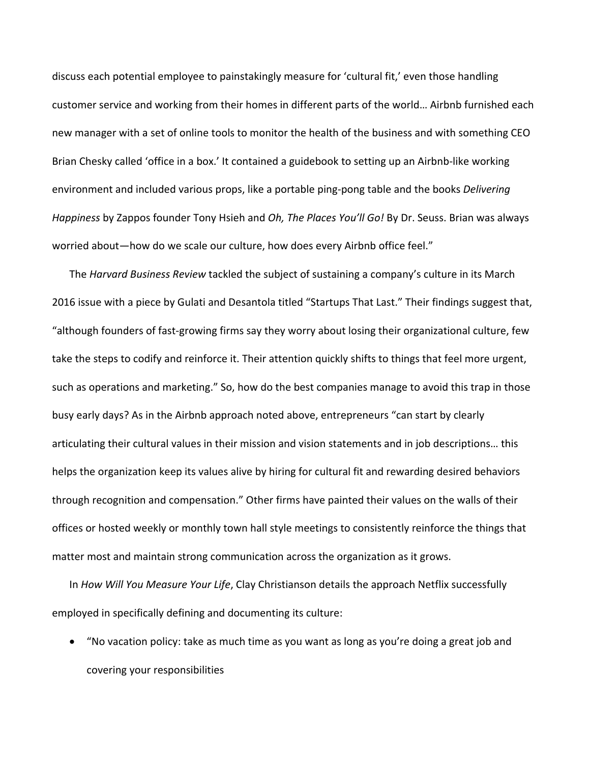discuss each potential employee to painstakingly measure for 'cultural fit,' even those handling customer service and working from their homes in different parts of the world… Airbnb furnished each new manager with a set of online tools to monitor the health of the business and with something CEO Brian Chesky called 'office in a box.' It contained a guidebook to setting up an Airbnb‐like working environment and included various props, like a portable ping‐pong table and the books *Delivering Happiness* by Zappos founder Tony Hsieh and *Oh, The Places You'll Go!* By Dr. Seuss. Brian was always worried about—how do we scale our culture, how does every Airbnb office feel."

The *Harvard Business Review* tackled the subject of sustaining a company's culture in its March 2016 issue with a piece by Gulati and Desantola titled "Startups That Last." Their findings suggest that, "although founders of fast‐growing firms say they worry about losing their organizational culture, few take the steps to codify and reinforce it. Their attention quickly shifts to things that feel more urgent, such as operations and marketing." So, how do the best companies manage to avoid this trap in those busy early days? As in the Airbnb approach noted above, entrepreneurs "can start by clearly articulating their cultural values in their mission and vision statements and in job descriptions… this helps the organization keep its values alive by hiring for cultural fit and rewarding desired behaviors through recognition and compensation." Other firms have painted their values on the walls of their offices or hosted weekly or monthly town hall style meetings to consistently reinforce the things that matter most and maintain strong communication across the organization as it grows.

In *How Will You Measure Your Life*, Clay Christianson details the approach Netflix successfully employed in specifically defining and documenting its culture:

 "No vacation policy: take as much time as you want as long as you're doing a great job and covering your responsibilities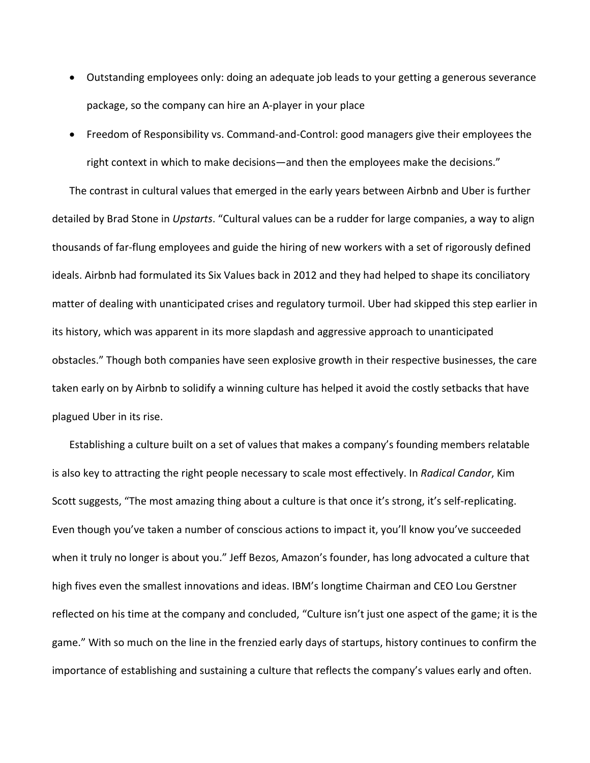- Outstanding employees only: doing an adequate job leads to your getting a generous severance package, so the company can hire an A‐player in your place
- Freedom of Responsibility vs. Command‐and‐Control: good managers give their employees the right context in which to make decisions—and then the employees make the decisions."

The contrast in cultural values that emerged in the early years between Airbnb and Uber is further detailed by Brad Stone in *Upstarts*. "Cultural values can be a rudder for large companies, a way to align thousands of far‐flung employees and guide the hiring of new workers with a set of rigorously defined ideals. Airbnb had formulated its Six Values back in 2012 and they had helped to shape its conciliatory matter of dealing with unanticipated crises and regulatory turmoil. Uber had skipped this step earlier in its history, which was apparent in its more slapdash and aggressive approach to unanticipated obstacles." Though both companies have seen explosive growth in their respective businesses, the care taken early on by Airbnb to solidify a winning culture has helped it avoid the costly setbacks that have plagued Uber in its rise.

Establishing a culture built on a set of values that makes a company's founding members relatable is also key to attracting the right people necessary to scale most effectively. In *Radical Candor*, Kim Scott suggests, "The most amazing thing about a culture is that once it's strong, it's self-replicating. Even though you've taken a number of conscious actions to impact it, you'll know you've succeeded when it truly no longer is about you." Jeff Bezos, Amazon's founder, has long advocated a culture that high fives even the smallest innovations and ideas. IBM's longtime Chairman and CEO Lou Gerstner reflected on his time at the company and concluded, "Culture isn't just one aspect of the game; it is the game." With so much on the line in the frenzied early days of startups, history continues to confirm the importance of establishing and sustaining a culture that reflects the company's values early and often.